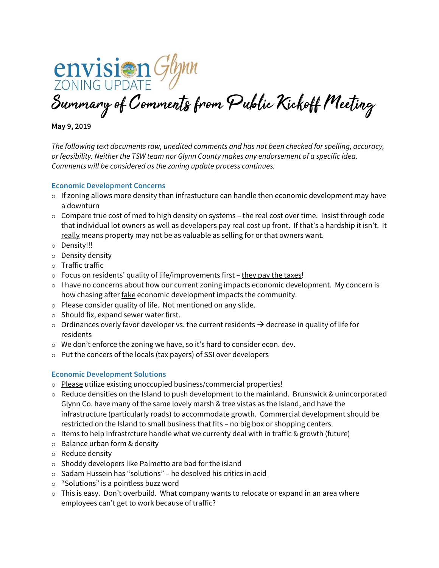

Summary of Comments from Public Kickoff Meeting

**May 9, 2019** 

The following text documents raw, unedited comments and has not been checked for spelling, accuracy, or feasibility. Neither the TSW team nor Glynn County makes any endorsement of a specific idea. Comments will be considered as the zoning update process continues.

### **Economic Development Concerns**

- $\circ$  If zoning allows more density than infrastucture can handle then economic development may have a downturn
- $\circ$  Compare true cost of med to high density on systems the real cost over time. Insist through code that individual lot owners as well as developers pay real cost up front. If that's a hardship it isn't. It really means property may not be as valuable as selling for or that owners want.
- o Density!!!
- $\circ$  Density density
- Traffic traffic
- $\circ$  Focus on residents' quality of life/improvements first they pay the taxes!
- $\circ$  I have no concerns about how our current zoning impacts economic development. My concern is how chasing after fake economic development impacts the community.
- $\circ$  Please consider quality of life. Not mentioned on any slide.
- $\circ$  Should fix, expand sewer water first.
- $\circ$  Ordinances overly favor developer vs. the current residents  $\rightarrow$  decrease in quality of life for residents
- We don't enforce the zoning we have, so it's hard to consider econ. dev.
- o Put the concers of the locals (tax payers) of SSI over developers

## **Economic Development Solutions**

- Please utilize existing unoccupied business/commercial properties!
- $\circ$  Reduce densities on the Island to push development to the mainland. Brunswick & unincorporated Glynn Co. have many of the same lovely marsh & tree vistas as the Island, and have the infrastructure (particularly roads) to accommodate growth. Commercial development should be restricted on the Island to small business that fits – no big box or shopping centers.
- $\circ$  Items to help infrastrcture handle what we currenty deal with in traffic & growth (future)
- Balance urban form & density
- Reduce density
- $\circ$  Shoddy developers like Palmetto are bad for the island
- $\circ$  Sadam Hussein has "solutions" he desolved his critics in acid
- "Solutions" is a pointless buzz word
- $\circ$  This is easy. Don't overbuild. What company wants to relocate or expand in an area where employees can't get to work because of traffic?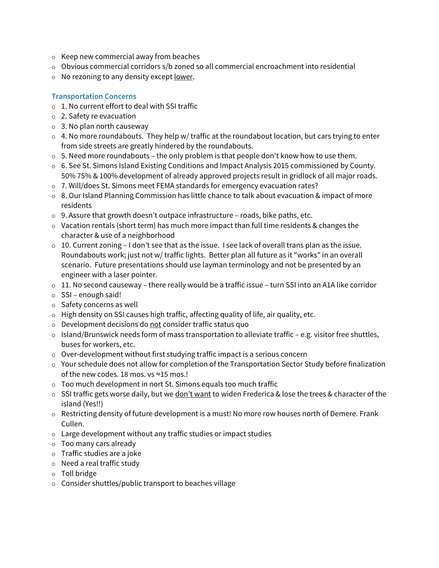- $\circ$  Keep new commercial away from beaches
- $\circ$  Obvious commercial corridors s/b zoned so all commercial encroachment into residential
- $\circ$  No rezoning to any density except lower.

# **Transportation Concerns**

- $\circ$  1. No current effort to deal with SSI traffic
- 2. Safety re evacuation
- 3. No plan north causeway
- o 4. No more roundabouts. They help w/ traffic at the roundabout location, but cars trying to enter from side streets are greatly hindered by the roundabouts.
- $\circ$  5. Need more roundabouts the only problem is that people don't know how to use them.
- 6. See St. Simons Island Existing Conditions and Impact Analysis 2015 commissioned by County. 50% 75% & 100% development of already approved projects result in gridlock of all major roads.
- 7. Will/does St. Simons meet FEMA standards for emergency evacuation rates?
- $\circ$  8. Our Island Planning Commission has little chance to talk about evacuation & impact of more residents
- $\circ$  9. Assure that growth doesn't outpace infrastructure roads, bike paths, etc.
- $\circ$  Vacation rentals (short term) has much more impact than full time residents & changes the character & use of a neighborhood
- $\circ$  10. Current zoning I don't see that as the issue. I see lack of overall trans plan as the issue. Roundabouts work; just not w/ traffic lights. Better plan all future as it "works" in an overall scenario. Future presentations should use layman terminology and not be presented by an engineer with a laser pointer.
- o 11. No second causeway there really would be a traffic issue turn SSI into an A1A like corridor
- $\circ$  SSI enough said!
- $\circ$  Safety concerns as well
- $\circ$  High density on SSI causes high traffic, affecting quality of life, air quality, etc.
- Development decisions do not consider traffic status quo
- $\circ$  Island/Brunswick needs form of mass transportation to alleviate traffic e.g. visitor free shuttles, buses for workers, etc.
- Over-development without first studying traffic impact is a serious concern
- Your schedule does not allow for completion of the Transportation Sector Study before finalization of the new codes. 18 mos. vs ≈15 mos.!
- Too much development in nort St. Simons equals too much traffic
- o SSI traffic gets worse daily, but we don't want to widen Frederica & lose the trees & character of the island (Yes!!)
- Restricting density of future development is a must! No more row houses north of Demere. Frank Cullen.
- Large development without any traffic studies or impact studies
- Too many cars already
- Traffic studies are a joke
- $\circ$  Need a real traffic study
- Toll bridge
- $\circ$  Consider shuttles/public transport to beaches village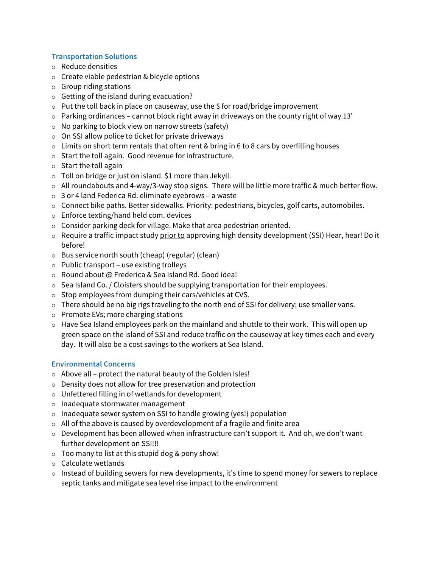### **Transportation Solutions**

- Reduce densities
- $\circ$  Create viable pedestrian & bicycle options
- $\circ$  Group riding stations
- $\circ$  Getting of the island during evacuation?
- $\circ$  Put the toll back in place on causeway, use the \$ for road/bridge improvement
- $\circ$  Parking ordinances cannot block right away in driveways on the county right of way 13'
- $\circ$  No parking to block view on narrow streets (safety)
- $\circ$  On SSI allow police to ticket for private driveways
- $\circ$  Limits on short term rentals that often rent & bring in 6 to 8 cars by overfilling houses
- $\circ$  Start the toll again. Good revenue for infrastructure.
- $\circ$  Start the toll again
- $\circ$  Toll on bridge or just on island. \$1 more than Jekyll.
- o All roundabouts and 4-way/3-way stop signs. There will be little more traffic & much better flow.
- 3 or 4 land Federica Rd. eliminate eyebrows a waste
- o Connect bike paths. Better sidewalks. Priority: pedestrians, bicycles, golf carts, automobiles.
- Enforce texting/hand held com. devices
- $\circ$  Consider parking deck for village. Make that area pedestrian oriented.
- $\circ$  Require a traffic impact study prior to approving high density development (SSI) Hear, hear! Do it before!
- Bus service north south (cheap) (regular) (clean)
- $\circ$  Public transport use existing trolleys
- Round about @ Frederica & Sea Island Rd. Good idea!
- $\circ$  Sea Island Co. / Cloisters should be supplying transportation for their employees.
- $\circ$  Stop employees from dumping their cars/vehicles at CVS.
- $\circ$  There should be no big rigs traveling to the north end of SSI for delivery; use smaller vans.
- $\circ$  Promote EVs; more charging stations
- $\circ$  Have Sea Island employees park on the mainland and shuttle to their work. This will open up green space on the island of SSI and reduce traffic on the causeway at key times each and every day. It will also be a cost savings to the workers at Sea Island.

#### **Environmental Concerns**

- $\circ$  Above all protect the natural beauty of the Golden Isles!
- Density does not allow for tree preservation and protection
- Unfettered filling in of wetlands for development
- $\circ$  Inadequate stormwater management
- o Inadequate sewer system on SSI to handle growing (yes!) population
- $\circ$  All of the above is caused by overdevelopment of a fragile and finite area
- o Development has been allowed when infrastructure can't support it. And oh, we don't want further development on SSI!!!
- $\circ$  Too many to list at this stupid dog & pony show!
- $\circ$  Calculate wetlands
- o Instead of building sewers for new developments, it's time to spend money for sewers to replace septic tanks and mitigate sea level rise impact to the environment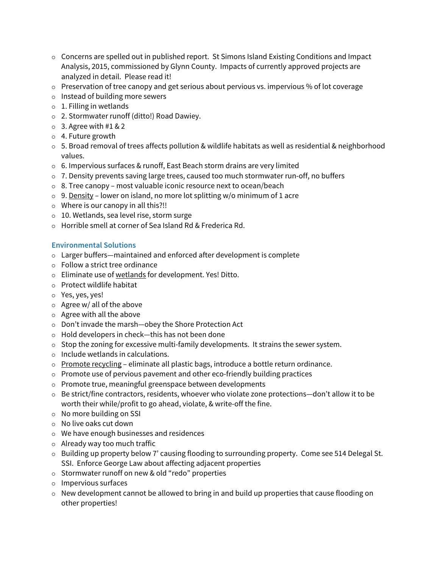- $\circ$  Concerns are spelled out in published report. St Simons Island Existing Conditions and Impact Analysis, 2015, commissioned by Glynn County. Impacts of currently approved projects are analyzed in detail. Please read it!
- $\circ$  Preservation of tree canopy and get serious about pervious vs. impervious % of lot coverage
- $\circ$  Instead of building more sewers
- $\circ$  1. Filling in wetlands
- 2. Stormwater runoff (ditto!) Road Dawiey.
- $\circ$  3. Agree with #1 & 2
- 4. Future growth
- 5. Broad removal of trees affects pollution & wildlife habitats as well as residential & neighborhood values.
- 6. Impervious surfaces & runoff, East Beach storm drains are very limited
- $\circ$  7. Density prevents saving large trees, caused too much stormwater run-off, no buffers
- $\circ$  8. Tree canopy most valuable iconic resource next to ocean/beach
- $\circ$  9. Density lower on island, no more lot splitting w/o minimum of 1 acre
- Where is our canopy in all this?!!
- 10. Wetlands, sea level rise, storm surge
- Horrible smell at corner of Sea Island Rd & Frederica Rd.

## **Environmental Solutions**

- Larger buffers—maintained and enforced after development is complete
- Follow a strict tree ordinance
- Eliminate use of wetlands for development. Yes! Ditto.
- $\circ$  Protect wildlife habitat
- Yes, yes, yes!
- $\circ$  Agree w/ all of the above
- $\circ$  Agree with all the above
- Don't invade the marsh—obey the Shore Protection Act
- $\circ$  Hold developers in check—this has not been done
- $\circ$  Stop the zoning for excessive multi-family developments. It strains the sewer system.
- $\circ$  Include wetlands in calculations.
- $\circ$  Promote recycling eliminate all plastic bags, introduce a bottle return ordinance.
- $\circ$  Promote use of pervious pavement and other eco-friendly building practices
- Promote true, meaningful greenspace between developments
- $\circ$  Be strict/fine contractors, residents, whoever who violate zone protections—don't allow it to be worth their while/profit to go ahead, violate, & write-off the fine.
- $\circ$  No more building on SSI
- No live oaks cut down
- We have enough businesses and residences
- Already way too much traffic
- o Building up property below 7' causing flooding to surrounding property. Come see 514 Delegal St. SSI. Enforce George Law about affecting adjacent properties
- o Stormwater runoff on new & old "redo" properties
- $\circ$  Impervious surfaces
- $\circ$  New development cannot be allowed to bring in and build up properties that cause flooding on other properties!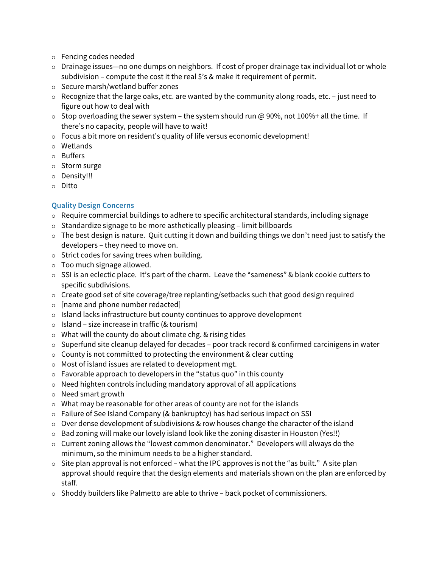- Fencing codes needed
- o Drainage issues—no one dumps on neighbors. If cost of proper drainage tax individual lot or whole subdivision – compute the cost it the real \$'s & make it requirement of permit.
- o Secure marsh/wetland buffer zones
- $\circ$  Recognize that the large oaks, etc. are wanted by the community along roads, etc. just need to figure out how to deal with
- $\circ$  Stop overloading the sewer system the system should run @ 90%, not 100%+ all the time. If there's no capacity, people will have to wait!
- Focus a bit more on resident's quality of life versus economic development!
- Wetlands
- Buffers
- $\circ$  Storm surge
- o Density!!!
- Ditto

# **Quality Design Concerns**

- $\circ$  Require commercial buildings to adhere to specific architectural standards, including signage
- $\circ$  Standardize signage to be more asthetically pleasing limit billboards
- $\circ$  The best design is nature. Quit cutting it down and building things we don't need just to satisfy the developers – they need to move on.
- $\circ$  Strict codes for saving trees when building.
- Too much signage allowed.
- $\circ$  SSI is an eclectic place. It's part of the charm. Leave the "sameness" & blank cookie cutters to specific subdivisions.
- $\circ$  Create good set of site coverage/tree replanting/setbacks such that good design required
- $\circ$  [name and phone number redacted]
- $\circ$  Island lacks infrastructure but county continues to approve development
- $\circ$  Island size increase in traffic (& tourism)
- What will the county do about climate chg. & rising tides
- $\circ$  Superfund site cleanup delayed for decades poor track record & confirmed carcinigens in water
- $\circ$  County is not committed to protecting the environment & clear cutting
- Most of island issues are related to development mgt.
- $\circ$  Favorable approach to developers in the "status quo" in this county
- $\circ$  Need highten controls including mandatory approval of all applications
- Need smart growth
- What may be reasonable for other areas of county are not for the islands
- Failure of See Island Company (& bankruptcy) has had serious impact on SSI
- $\circ$  Over dense development of subdivisions & row houses change the character of the island
- o Bad zoning will make our lovely island look like the zoning disaster in Houston (Yes!!)
- $\circ$  Current zoning allows the "lowest common denominator." Developers will always do the minimum, so the minimum needs to be a higher standard.
- $\circ$  Site plan approval is not enforced what the IPC approves is not the "as built." A site plan approval should require that the design elements and materials shown on the plan are enforced by staff.
- $\circ$  Shoddy builders like Palmetto are able to thrive back pocket of commissioners.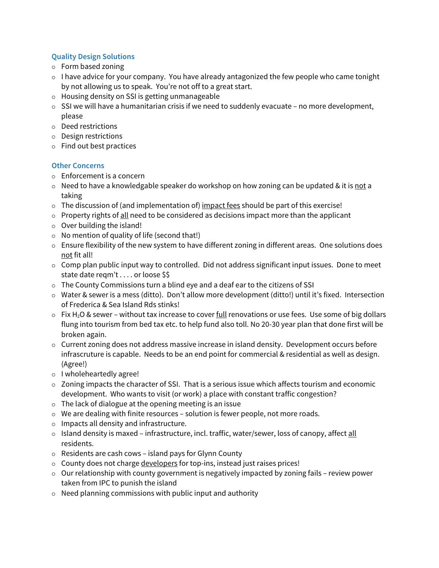## **Quality Design Solutions**

- Form based zoning
- $\circ$  I have advice for your company. You have already antagonized the few people who came tonight by not allowing us to speak. You're not off to a great start.
- Housing density on SSI is getting unmanageable
- $\circ$  SSI we will have a humanitarian crisis if we need to suddenly evacuate no more development, please
- Deed restrictions
- Design restrictions
- $\circ$  Find out best practices

# **Other Concerns**

- Enforcement is a concern
- $\circ$  Need to have a knowledgable speaker do workshop on how zoning can be updated & it is not a taking
- $\circ$  The discussion of (and implementation of) impact fees should be part of this exercise!
- $\circ$  Property rights of all need to be considered as decisions impact more than the applicant
- $\circ$  Over building the island!
- $\circ$  No mention of quality of life (second that!)
- $\circ$  Ensure flexibility of the new system to have different zoning in different areas. One solutions does not fit all!
- $\circ$  Comp plan public input way to controlled. Did not address significant input issues. Done to meet state date reqm't . . . . or loose \$\$
- The County Commissions turn a blind eye and a deaf ear to the citizens of SSI
- $\circ$  Water & sewer is a mess (ditto). Don't allow more development (ditto!) until it's fixed. Intersection of Frederica & Sea Island Rds stinks!
- $\circ$  Fix H<sub>2</sub>O & sewer without tax increase to cover <u>full</u> renovations or use fees. Use some of big dollars flung into tourism from bed tax etc. to help fund also toll. No 20-30 year plan that done first will be broken again.
- $\circ$  Current zoning does not address massive increase in island density. Development occurs before infrascruture is capable. Needs to be an end point for commercial & residential as well as design. (Agree!)
- o I wholeheartedly agree!
- $\circ$  Zoning impacts the character of SSI. That is a serious issue which affects tourism and economic development. Who wants to visit (or work) a place with constant traffic congestion?
- $\circ$  The lack of dialogue at the opening meeting is an issue
- $\circ$  We are dealing with finite resources solution is fewer people, not more roads.
- $\circ$  Impacts all density and infrastructure.
- $\circ$  Island density is maxed infrastructure, incl. traffic, water/sewer, loss of canopy, affect all residents.
- Residents are cash cows island pays for Glynn County
- $\circ$  County does not charge developers for top-ins, instead just raises prices!
- $\circ$  Our relationship with county government is negatively impacted by zoning fails review power taken from IPC to punish the island
- $\circ$  Need planning commissions with public input and authority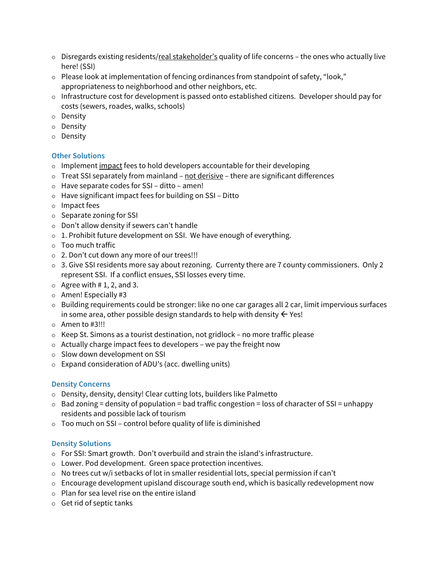- $\circ$  Disregards existing residents/real stakeholder's quality of life concerns the ones who actually live here! (SSI)
- $\circ$  Please look at implementation of fencing ordinances from standpoint of safety, "look," appropriateness to neighborhood and other neighbors, etc.
- $\circ$  Infrastructure cost for development is passed onto established citizens. Developer should pay for costs (sewers, roades, walks, schools)
- o Density
- Density
- Density

# **Other Solutions**

- $\circ$  Implement impact fees to hold developers accountable for their developing
- $\circ$  Treat SSI separately from mainland not derisive there are significant differences
- Have separate codes for SSI ditto amen!
- $\circ$  Have significant impact fees for building on SSI Ditto
- o Impact fees
- $\circ$  Separate zoning for SSI
- $\circ$  Don't allow density if sewers can't handle
- $\circ$  1. Prohibit future development on SSI. We have enough of everything.
- Too much traffic
- 2. Don't cut down any more of our trees!!!
- o 3. Give SSI residents more say about rezoning. Currenty there are 7 county commissioners. Only 2 represent SSI. If a conflict ensues, SSI losses every time.
- $\circ$  Agree with # 1, 2, and 3.
- $\circ$  Amen! Especially #3
- $\circ$  Building requirements could be stronger: like no one car garages all 2 car, limit impervious surfaces in some area, other possible design standards to help with density  $\leftarrow$  Yes!
- Amen to #3!!!
- $\circ$  Keep St. Simons as a tourist destination, not gridlock no more traffic please
- $\circ$  Actually charge impact fees to developers we pay the freight now
- $\circ$  Slow down development on SSI
- Expand consideration of ADU's (acc. dwelling units)

#### **Density Concerns**

- Density, density, density! Clear cutting lots, builders like Palmetto
- $\circ$  Bad zoning = density of population = bad traffic congestion = loss of character of SSI = unhappy residents and possible lack of tourism
- $\circ$  Too much on SSI control before quality of life is diminished

#### **Density Solutions**

- For SSI: Smart growth. Don't overbuild and strain the island's infrastructure.
- Lower. Pod development. Green space protection incentives.
- $\circ$  No trees cut w/i setbacks of lot in smaller residential lots, special permission if can't
- $\circ$  Encourage development upisland discourage south end, which is basically redevelopment now
- $\circ$  Plan for sea level rise on the entire island
- $\circ$  Get rid of septic tanks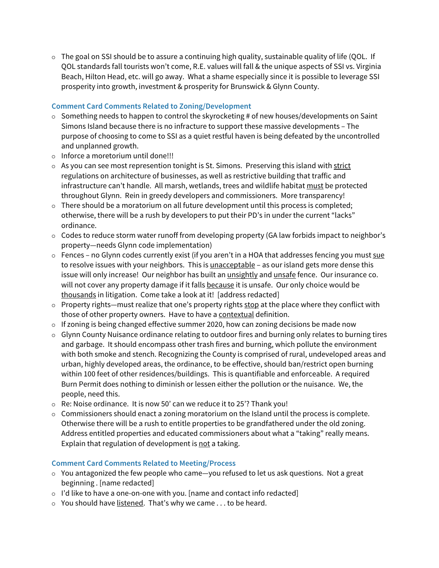$\circ$  The goal on SSI should be to assure a continuing high quality, sustainable quality of life (QOL. If QOL standards fall tourists won't come, R.E. values will fall & the unique aspects of SSI vs. Virginia Beach, Hilton Head, etc. will go away. What a shame especially since it is possible to leverage SSI prosperity into growth, investment & prosperity for Brunswick & Glynn County.

# **Comment Card Comments Related to Zoning/Development**

- $\circ$  Something needs to happen to control the skyrocketing # of new houses/developments on Saint Simons Island because there is no infracture to support these massive developments – The purpose of choosing to come to SSI as a quiet restful haven is being defeated by the uncontrolled and unplanned growth.
- $\circ$  Inforce a moretorium until done!!!
- $\circ$  As you can see most represention tonight is St. Simons. Preserving this island with strict regulations on architecture of businesses, as well as restrictive building that traffic and infrastructure can't handle. All marsh, wetlands, trees and wildlife habitat must be protected throughout Glynn. Rein in greedy developers and commissioners. More transparency!
- $\circ$  There should be a moratorium on all future development until this process is completed; otherwise, there will be a rush by developers to put their PD's in under the current "lacks" ordinance.
- $\circ$  Codes to reduce storm water runoff from developing property (GA law forbids impact to neighbor's property—needs Glynn code implementation)
- $\circ$  Fences no Glynn codes currently exist (if you aren't in a HOA that addresses fencing you must sue to resolve issues with your neighbors. This is unacceptable - as our island gets more dense this issue will only increase! Our neighbor has built an **unsightly and unsafe fence. Our insurance co.** will not cover any property damage if it falls because it is unsafe. Our only choice would be thousands in litigation. Come take a look at it! [address redacted]
- $\circ$  Property rights—must realize that one's property rights stop at the place where they conflict with those of other property owners. Have to have a contextual definition.
- $\circ$  If zoning is being changed effective summer 2020, how can zoning decisions be made now
- $\circ$  Glynn County Nuisance ordinance relating to outdoor fires and burning only relates to burning tires and garbage. It should encompass other trash fires and burning, which pollute the environment with both smoke and stench. Recognizing the County is comprised of rural, undeveloped areas and urban, highly developed areas, the ordinance, to be effective, should ban/restrict open burning within 100 feet of other residences/buildings. This is quantifiable and enforceable. A required Burn Permit does nothing to diminish or lessen either the pollution or the nuisance. We, the people, need this.
- Re: Noise ordinance. It is now 50' can we reduce it to 25'? Thank you!
- $\circ$  Commissioners should enact a zoning moratorium on the Island until the process is complete. Otherwise there will be a rush to entitle properties to be grandfathered under the old zoning. Address entitled properties and educated commissioners about what a "taking" really means. Explain that regulation of development is not a taking.

## **Comment Card Comments Related to Meeting/Process**

- $\circ$  You antagonized the few people who came—you refused to let us ask questions. Not a great beginning . [name redacted]
- $\circ$  I'd like to have a one-on-one with you. [name and contact info redacted]
- $\circ$  You should have listened. That's why we came ... to be heard.